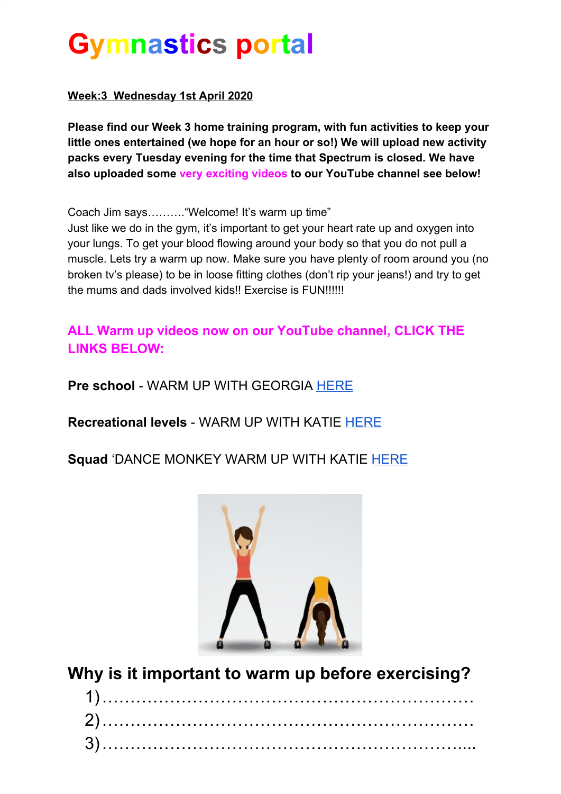# **Gymnastics portal**

#### **Week:3 Wednesday 1st April 2020**

**Please find our Week 3 home training program, with fun activities to keep your little ones entertained (we hope for an hour or so!) We will upload new activity packs every Tuesday evening for the time that Spectrum is closed. We have also uploaded some very exciting videos to our YouTube channel see below!**

Coach Jim says………."Welcome! It's warm up time"

Just like we do in the gym, it's important to get your heart rate up and oxygen into your lungs. To get your blood flowing around your body so that you do not pull a muscle. Lets try a warm up now. Make sure you have plenty of room around you (no broken tv's please) to be in loose fitting clothes (don't rip your jeans!) and try to get the mums and dads involved kids!! Exercise is FUN!!!!!!

#### **ALL Warm up videos now on our YouTube channel, CLICK THE LINKS BELOW:**

**Pre school** - WARM UP WITH GEORGIA [HERE](https://www.youtube.com/watch?v=2WOVNVJv3Ec&t=22s)

**Recreational levels** - WARM UP WITH KATIE [HERE](https://www.youtube.com/watch?v=9syNhXrYLCg)

#### **Squad** 'DANCE MONKEY WARM UP WITH KATIE [HERE](https://www.youtube.com/watch?v=p2ox8aOsVHk&t=2s)



**Why is it important to warm up before exercising?**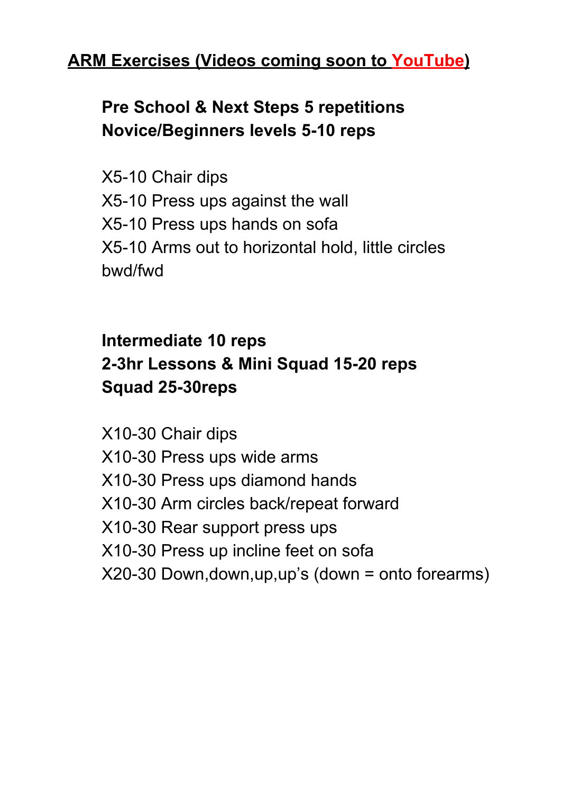### **ARM Exercises (Videos coming soon to YouTube)**

# **Pre School & Next Steps 5 repetitions Novice/Beginners levels 5-10 reps**

X5-10 Chair dips X5-10 Press ups against the wall X5-10 Press ups hands on sofa X5-10 Arms out to horizontal hold, little circles bwd/fwd

### **Intermediate 10 reps 2-3hr Lessons & Mini Squad 15-20 reps Squad 25-30reps**

X10-30 Chair dips X10-30 Press ups wide arms X10-30 Press ups diamond hands X10-30 Arm circles back/repeat forward X10-30 Rear support press ups X10-30 Press up incline feet on sofa X20-30 Down,down,up,up's (down = onto forearms)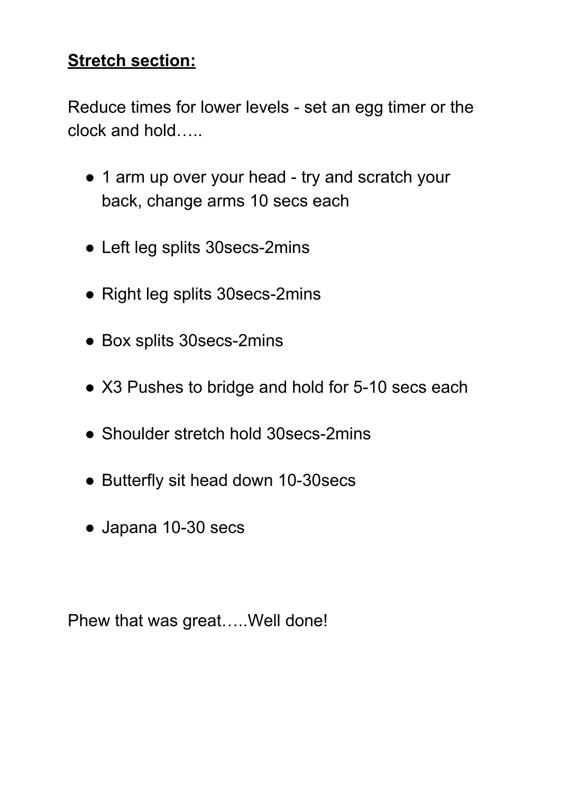### **Stretch section:**

Reduce times for lower levels - set an egg timer or the clock and hold…..

- 1 arm up over your head try and scratch your back, change arms 10 secs each
- Left leg splits 30secs-2mins
- Right leg splits 30secs-2mins
- Box splits 30secs-2mins
- X3 Pushes to bridge and hold for 5-10 secs each
- Shoulder stretch hold 30 secs-2mins
- Butterfly sit head down 10-30secs
- Japana 10-30 secs

Phew that was great…..Well done!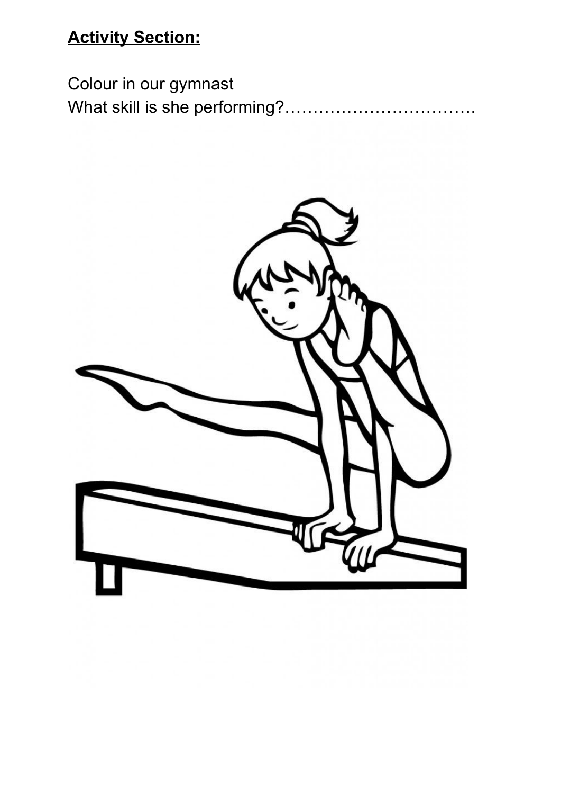# **Activity Section:**

Colour in our gymnast What skill is she performing?…………………………….

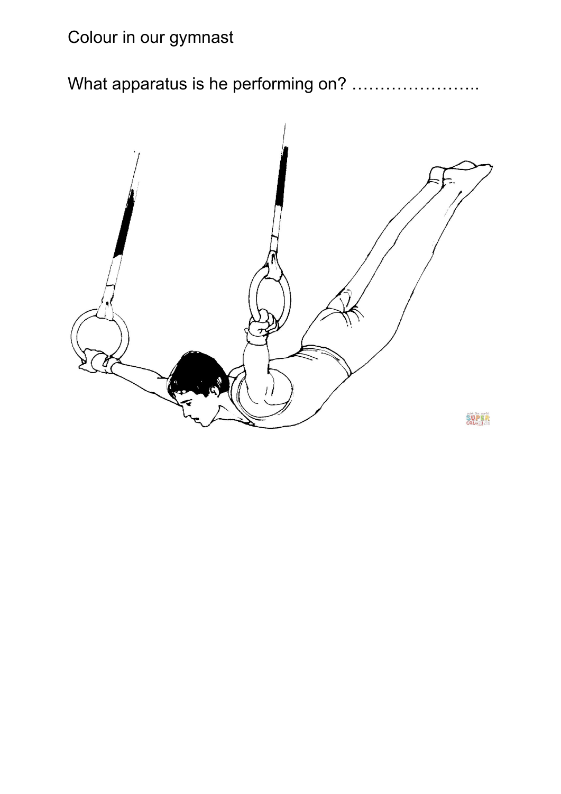# Colour in our gymnast

What apparatus is he performing on? ........................